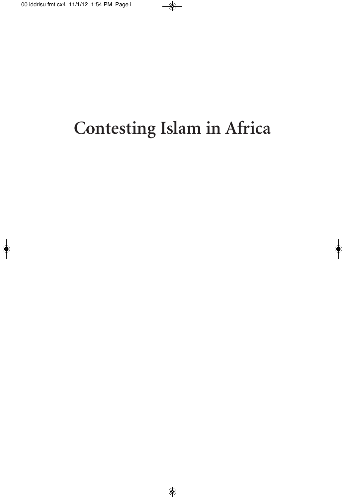## Contesting Islam in Africa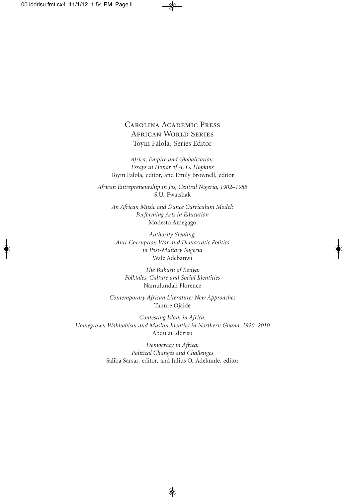#### Carolina Academic Press African World Series Toyin Falola, Series Editor

*Africa, Empire and Globalization: Essays in Honor of A. G. Hopkins* Toyin Falola, editor, and Emily Brownell, editor

*African Entrepreneurship in Jos, Central Nigeria, 1902–1985* S.U. Fwatshak

*An African Music and Dance Curriculum Model: Performing Arts in Education* Modesto Amegago

*Authority Stealing: Anti-Corruption War and Democratic Politics in Post-Military Nigeria* Wale Adebanwi

*The Bukusu of Kenya: Folktales, Culture and Social Identities* Namulundah Florence

*Contemporary African Literature: New Approaches* Tanure Ojaide

*Contesting Islam in Africa: Homegrown Wahhabism and Muslim Identity in Northern Ghana, 1920–2010* Abdulai Iddrisu

> *Democracy in Africa: Political Changes and Challenges* Saliba Sarsar, editor, and Julius O. Adekunle, editor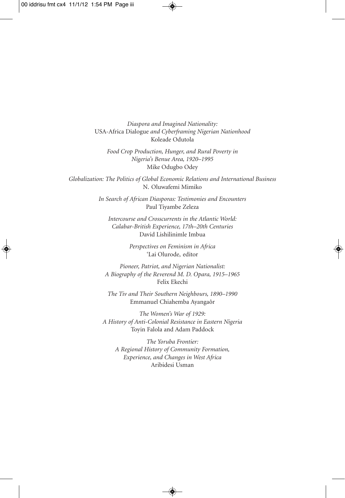*Diaspora and Imagined Nationality:* USA-Africa Dialogue *and Cyberframing Nigerian Nationhood* Koleade Odutola

*Food Crop Production, Hunger, and Rural Poverty in Nigeria's Benue Area, 1920–1995* Mike Odugbo Odey

*Globalization: The Politics of Global Economic Relations and International Business* N. Oluwafemi Mimiko

> *In Search of African Diasporas: Testimonies and Encounters* Paul Tiyambe Zeleza

*Intercourse and Crosscurrents in the Atlantic World: Calabar-British Experience, 17th–20th Centuries* David Lishilinimle Imbua

> *Perspectives on Feminism in Africa* 'Lai Olurode, editor

*Pioneer, Patriot, and Nigerian Nationalist: A Biography of the Reverend M. D. Opara, 1915–1965* Felix Ekechi

*The Tiv and Their Southern Neighbours, 1890–1990* Emmanuel Chiahemba Ayangaôr

*The Women's War of 1929: A History of Anti-Colonial Resistance in Eastern Nigeria* Toyin Falola and Adam Paddock

*The Yoruba Frontier: A Regional History of Community Formation, Experience, and Changes in West Africa* Aribidesi Usman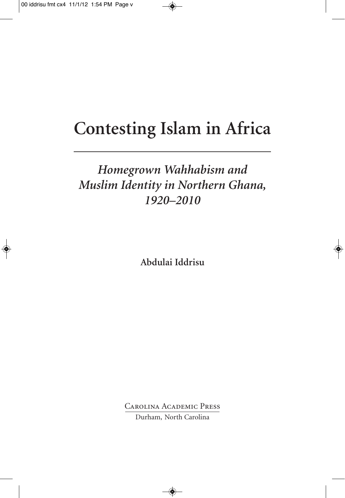## **Contesting Islam in Africa**

#### *Homegrown Wahhabism and Muslim Identity in Northern Ghana, 1920–2010*

**Abdulai Iddrisu**

Carolina Academic Press Durham, North Carolina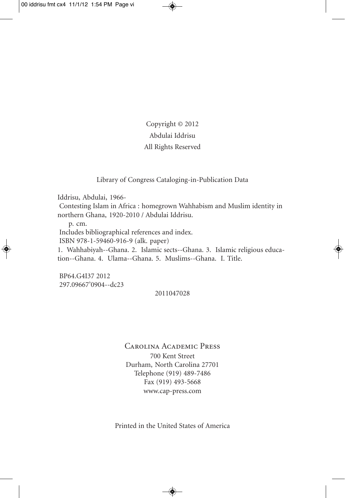Copyright © 2012 Abdulai Iddrisu All Rights Reserved

Library of Congress Cataloging-in-Publication Data

Iddrisu, Abdulai, 1966-

Contesting Islam in Africa : homegrown Wahhabism and Muslim identity in northern Ghana, 1920-2010 / Abdulai Iddrisu.

p. cm.

Includes bibliographical references and index.

ISBN 978-1-59460-916-9 (alk. paper)

1. Wahhabiyah--Ghana. 2. Islamic sects--Ghana. 3. Islamic religious education--Ghana. 4. Ulama--Ghana. 5. Muslims--Ghana. I. Title.

BP64.G4I37 2012 297.09667'0904--dc23

#### 2011047028

Carolina Academic Press 700 Kent Street Durham, North Carolina 27701 Telephone (919) 489-7486 Fax (919) 493-5668 www.cap-press.com

Printed in the United States of America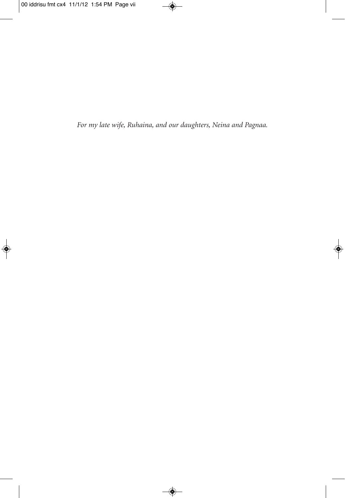For my late wife, Ruhaina, and our daughters, Neina and Pagnaa.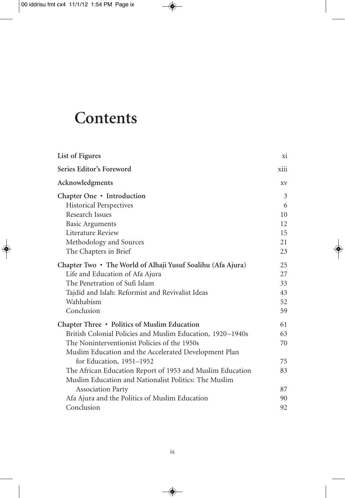### **Contents**

| List of Figures                                                                                                                                                                                                                                 | xi                               |
|-------------------------------------------------------------------------------------------------------------------------------------------------------------------------------------------------------------------------------------------------|----------------------------------|
| Series Editor's Foreword                                                                                                                                                                                                                        | xiii                             |
| Acknowledgments                                                                                                                                                                                                                                 | XV                               |
| Chapter One • Introduction<br><b>Historical Perspectives</b><br>Research Issues                                                                                                                                                                 | 3<br>6<br>10<br>12               |
| <b>Basic Arguments</b><br>Literature Review<br>Methodology and Sources<br>The Chapters in Brief                                                                                                                                                 | 15<br>21<br>23                   |
| Chapter Two • The World of Alhaji Yusuf Soalihu (Afa Ajura)<br>Life and Education of Afa Ajura<br>The Penetration of Sufi Islam<br>Tajdid and Islah: Reformist and Revivalist Ideas<br>Wahhabism<br>Conclusion                                  | 25<br>27<br>33<br>43<br>52<br>59 |
| Chapter Three • Politics of Muslim Education<br>British Colonial Policies and Muslim Education, 1920-1940s<br>The Noninterventionist Policies of the 1950s<br>Muslim Education and the Accelerated Development Plan<br>for Education, 1951-1952 | 61<br>63<br>70<br>75             |
| The African Education Report of 1953 and Muslim Education<br>Muslim Education and Nationalist Politics: The Muslim                                                                                                                              | 83                               |
| <b>Association Party</b><br>Afa Ajura and the Politics of Muslim Education<br>Conclusion                                                                                                                                                        | 87<br>90<br>92                   |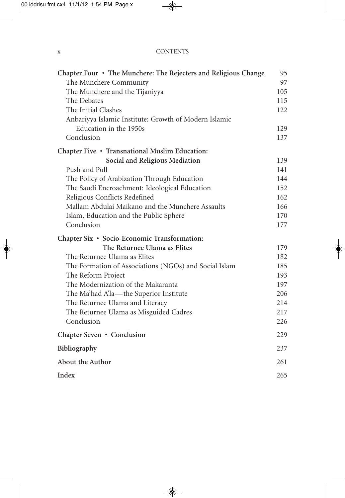#### x CONTENTS

| Chapter Four • The Munchere: The Rejecters and Religious Change |     |  |
|-----------------------------------------------------------------|-----|--|
| The Munchere Community                                          |     |  |
| The Munchere and the Tijaniyya                                  |     |  |
| The Debates                                                     |     |  |
| The Initial Clashes                                             |     |  |
| Anbariyya Islamic Institute: Growth of Modern Islamic           |     |  |
| Education in the 1950s                                          | 129 |  |
| Conclusion                                                      | 137 |  |
| Chapter Five • Transnational Muslim Education:                  |     |  |
| Social and Religious Mediation                                  | 139 |  |
| Push and Pull                                                   | 141 |  |
| The Policy of Arabization Through Education                     | 144 |  |
| The Saudi Encroachment: Ideological Education                   |     |  |
| Religious Conflicts Redefined                                   |     |  |
| Mallam Abdulai Maikano and the Munchere Assaults                | 166 |  |
| Islam, Education and the Public Sphere                          | 170 |  |
| Conclusion                                                      | 177 |  |
| Chapter Six • Socio-Economic Transformation:                    |     |  |
| The Returnee Ulama as Elites                                    | 179 |  |
| The Returnee Ulama as Elites                                    | 182 |  |
| The Formation of Associations (NGOs) and Social Islam           |     |  |
| The Reform Project                                              | 193 |  |
| The Modernization of the Makaranta                              | 197 |  |
| The Ma'had A'la-the Superior Institute                          | 206 |  |
| The Returnee Ulama and Literacy                                 | 214 |  |
| The Returnee Ulama as Misguided Cadres                          | 217 |  |
| Conclusion                                                      | 226 |  |
| Chapter Seven • Conclusion                                      |     |  |
| Bibliography                                                    |     |  |
| About the Author                                                |     |  |
| Index                                                           |     |  |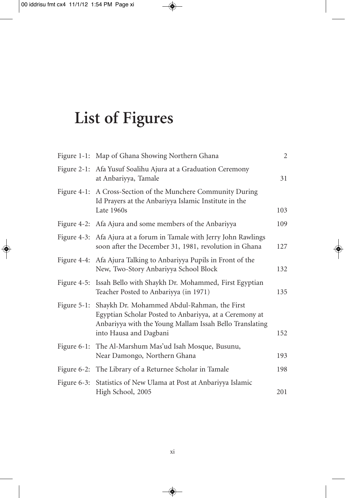# **List of Figures**

|                | Figure 1-1: Map of Ghana Showing Northern Ghana                                                                                                                                            | $\overline{2}$ |
|----------------|--------------------------------------------------------------------------------------------------------------------------------------------------------------------------------------------|----------------|
| Figure 2-1:    | Afa Yusuf Soalihu Ajura at a Graduation Ceremony<br>at Anbariyya, Tamale                                                                                                                   | 31             |
|                | Figure 4-1: A Cross-Section of the Munchere Community During<br>Id Prayers at the Anbariyya Islamic Institute in the<br>Late 1960s                                                         | 103            |
|                | Figure 4-2: Afa Ajura and some members of the Anbariyya                                                                                                                                    | 109            |
|                | Figure 4-3: Afa Ajura at a forum in Tamale with Jerry John Rawlings<br>soon after the December 31, 1981, revolution in Ghana                                                               | 127            |
|                | Figure 4-4: Afa Ajura Talking to Anbariyya Pupils in Front of the<br>New, Two-Story Anbariyya School Block                                                                                 | 132            |
|                | Figure 4-5: Issah Bello with Shaykh Dr. Mohammed, First Egyptian<br>Teacher Posted to Anbariyya (in 1971)                                                                                  | 135            |
| Figure $5-1$ : | Shaykh Dr. Mohammed Abdul-Rahman, the First<br>Egyptian Scholar Posted to Anbariyya, at a Ceremony at<br>Anbariyya with the Young Mallam Issah Bello Translating<br>into Hausa and Dagbani | 152            |
|                | Figure 6-1: The Al-Marshum Mas'ud Isah Mosque, Busunu,<br>Near Damongo, Northern Ghana                                                                                                     | 193            |
|                | Figure 6-2: The Library of a Returnee Scholar in Tamale                                                                                                                                    | 198            |
| Figure $6-3$ : | Statistics of New Ulama at Post at Anbariyya Islamic<br>High School, 2005                                                                                                                  | 201            |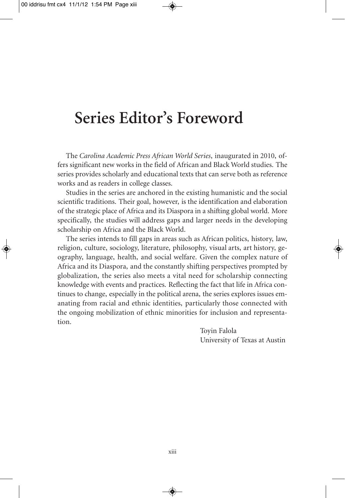### **Series Editor's Foreword**

The *Carolina Academic Press African World Series*, inaugurated in 2010, offers significant new works in the field of African and Black World studies. The series provides scholarly and educational texts that can serve both as reference works and as readers in college classes.

Studies in the series are anchored in the existing humanistic and the social scientific traditions. Their goal, however, is the identification and elaboration of the strategic place of Africa and its Diaspora in a shifting global world. More specifically, the studies will address gaps and larger needs in the developing scholarship on Africa and the Black World.

The series intends to fill gaps in areas such as African politics, history, law, religion, culture, sociology, literature, philosophy, visual arts, art history, geography, language, health, and social welfare. Given the complex nature of Africa and its Diaspora, and the constantly shifting perspectives prompted by globalization, the series also meets a vital need for scholarship connecting knowledge with events and practices. Reflecting the fact that life in Africa continues to change, especially in the political arena, the series explores issues emanating from racial and ethnic identities, particularly those connected with the ongoing mobilization of ethnic minorities for inclusion and representation.

> Toyin Falola University of Texas at Austin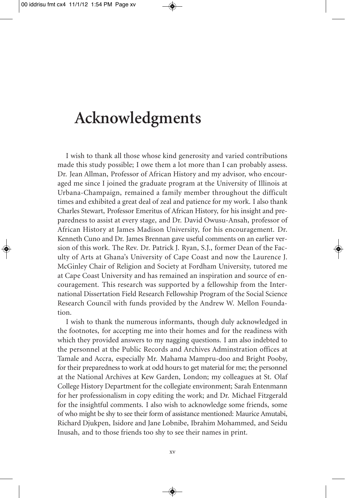### **Acknowledgments**

I wish to thank all those whose kind generosity and varied contributions made this study possible; I owe them a lot more than I can probably assess. Dr. Jean Allman, Professor of African History and my advisor, who encouraged me since I joined the graduate program at the University of Illinois at Urbana-Champaign, remained a family member throughout the difficult times and exhibited a great deal of zeal and patience for my work. I also thank Charles Stewart, Professor Emeritus of African History, for his insight and preparedness to assist at every stage, and Dr. David Owusu-Ansah, professor of African History at James Madison University, for his encouragement. Dr. Kenneth Cuno and Dr. James Brennan gave useful comments on an earlier version of this work. The Rev. Dr. Patrick J. Ryan, S.J., former Dean of the Faculty of Arts at Ghana's University of Cape Coast and now the Laurence J. McGinley Chair of Religion and Society at Fordham University, tutored me at Cape Coast University and has remained an inspiration and source of encouragement. This research was supported by a fellowship from the International Dissertation Field Research Fellowship Program of the Social Science Research Council with funds provided by the Andrew W. Mellon Foundation.

I wish to thank the numerous informants, though duly acknowledged in the footnotes, for accepting me into their homes and for the readiness with which they provided answers to my nagging questions. I am also indebted to the personnel at the Public Records and Archives Adminstration offices at Tamale and Accra, especially Mr. Mahama Mampru-doo and Bright Pooby, for their preparedness to work at odd hours to get material for me; the personnel at the National Archives at Kew Garden, London; my colleagues at St. Olaf College History Department for the collegiate environment; Sarah Entenmann for her professionalism in copy editing the work; and Dr. Michael Fitzgerald for the insightful comments. I also wish to acknowledge some friends, some of who might be shy to see their form of assistance mentioned: Maurice Amutabi, Richard Djukpen, Isidore and Jane Lobnibe, Ibrahim Mohammed, and Seidu Inusah, and to those friends too shy to see their names in print.